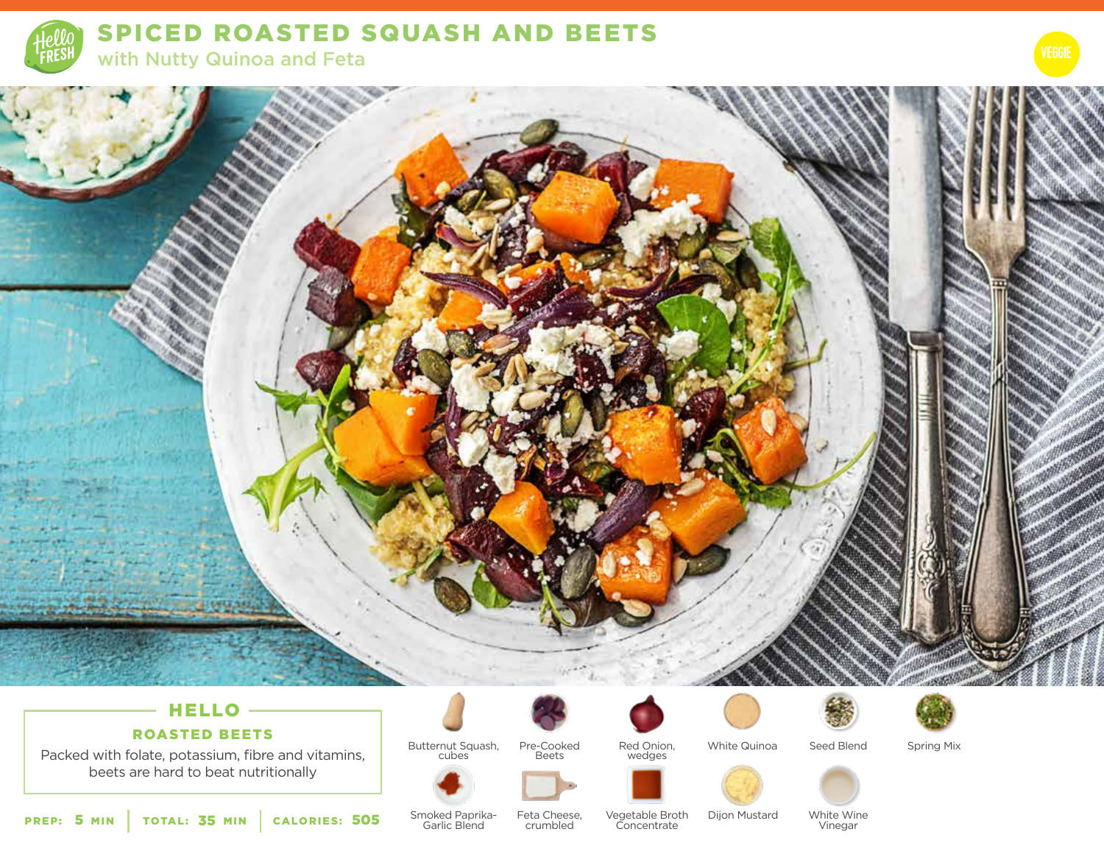



# HELLO -

# ROASTED BEETS

Packed with folate, potassium, fibre and vitamins, beets are hard to beat nutritionally













Spring Mix

**505** Smoked Paprika- Feta Cheese, Vegetable Broth<br>Garlic Blend crumbled Concentrate Garlic Blend

Butternut Squash, cubes

> Feta Cheese, crumbled

Dijon Mustard

White Wine

Vinegar

PREP: 5 MIN | TOTAL: 35 MIN | CALORIES: